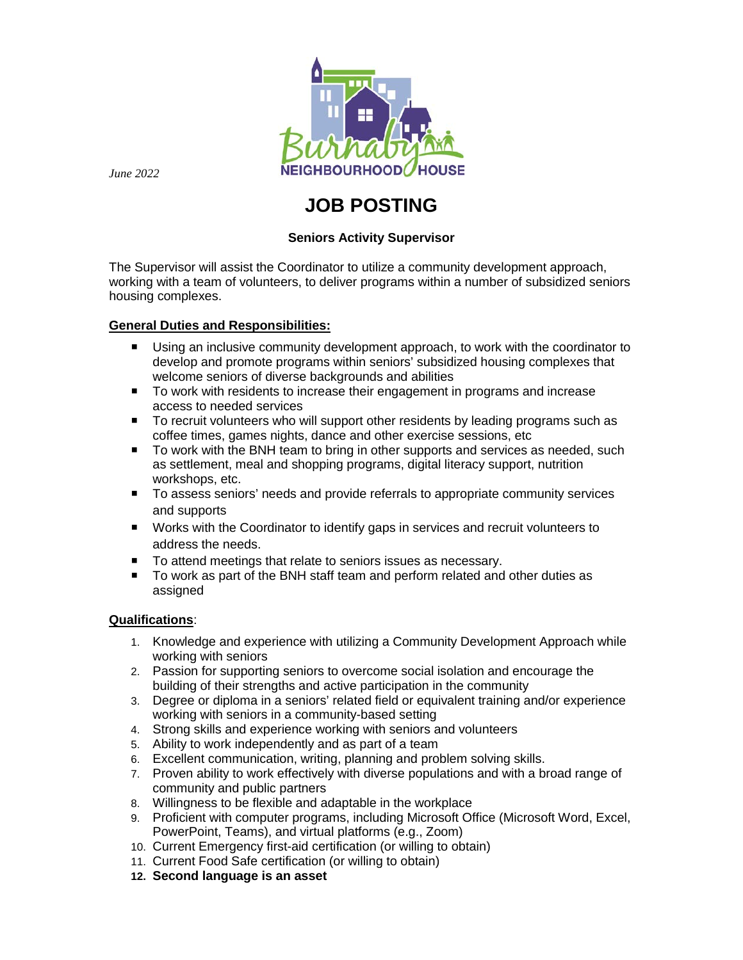

*June 2022*

# **JOB POSTING**

# **Seniors Activity Supervisor**

The Supervisor will assist the Coordinator to utilize a community development approach, working with a team of volunteers, to deliver programs within a number of subsidized seniors housing complexes.

## **General Duties and Responsibilities:**

- Using an inclusive community development approach, to work with the coordinator to develop and promote programs within seniors' subsidized housing complexes that welcome seniors of diverse backgrounds and abilities
- To work with residents to increase their engagement in programs and increase access to needed services
- To recruit volunteers who will support other residents by leading programs such as coffee times, games nights, dance and other exercise sessions, etc
- To work with the BNH team to bring in other supports and services as needed, such as settlement, meal and shopping programs, digital literacy support, nutrition workshops, etc.
- To assess seniors' needs and provide referrals to appropriate community services and supports
- Works with the Coordinator to identify gaps in services and recruit volunteers to address the needs.
- To attend meetings that relate to seniors issues as necessary.
- To work as part of the BNH staff team and perform related and other duties as assigned

## **Qualifications**:

- 1. Knowledge and experience with utilizing a Community Development Approach while working with seniors
- 2. Passion for supporting seniors to overcome social isolation and encourage the building of their strengths and active participation in the community
- 3. Degree or diploma in a seniors' related field or equivalent training and/or experience working with seniors in a community-based setting
- 4. Strong skills and experience working with seniors and volunteers
- 5. Ability to work independently and as part of a team
- 6. Excellent communication, writing, planning and problem solving skills.
- 7. Proven ability to work effectively with diverse populations and with a broad range of community and public partners
- 8. Willingness to be flexible and adaptable in the workplace
- 9. Proficient with computer programs, including Microsoft Office (Microsoft Word, Excel, PowerPoint, Teams), and virtual platforms (e.g., Zoom)
- 10. Current Emergency first-aid certification (or willing to obtain)
- 11. Current Food Safe certification (or willing to obtain)
- **12. Second language is an asset**